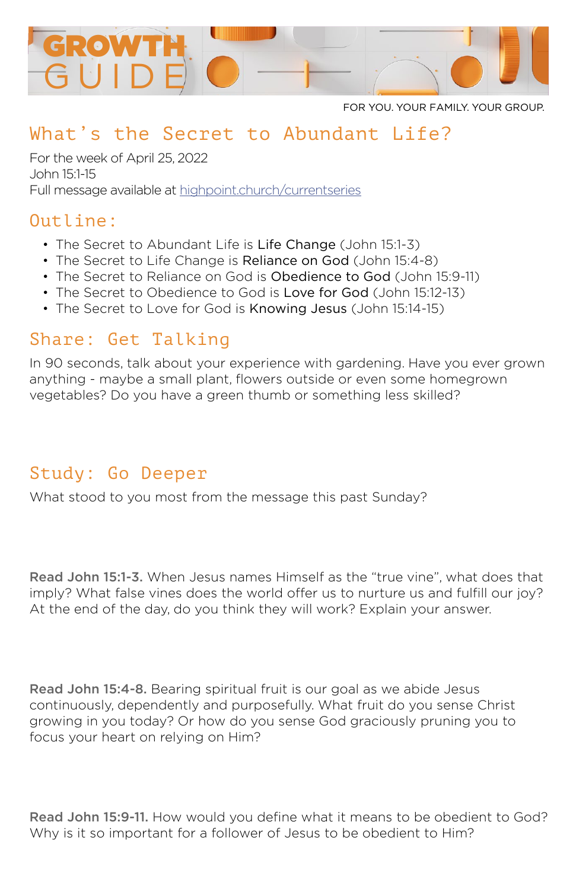

FOR YOU. YOUR FAMILY. YOUR GROUP.

# What's the Secret to Abundant Life?

For the week of April 25, 2022 John 15:1-15 Full message available at [highpoint.church/currentseries](http://highpoint.church/currentseries)

#### Outline:

- The Secret to Abundant Life is Life Change (John 15:1-3)
- The Secret to Life Change is Reliance on God (John 15:4-8)
- The Secret to Reliance on God is Obedience to God (John 15:9-11)
- The Secret to Obedience to God is Love for God (John 15:12-13)
- The Secret to Love for God is Knowing Jesus (John 15:14-15)

#### Share: Get Talking

In 90 seconds, talk about your experience with gardening. Have you ever grown anything - maybe a small plant, flowers outside or even some homegrown vegetables? Do you have a green thumb or something less skilled?

### Study: Go Deeper

What stood to you most from the message this past Sunday?

Read John 15:1-3. When Jesus names Himself as the "true vine", what does that imply? What false vines does the world offer us to nurture us and fulfill our joy? At the end of the day, do you think they will work? Explain your answer.

Read John 15:4-8. Bearing spiritual fruit is our goal as we abide Jesus continuously, dependently and purposefully. What fruit do you sense Christ growing in you today? Or how do you sense God graciously pruning you to focus your heart on relying on Him?

Read John 15:9-11. How would you define what it means to be obedient to God? Why is it so important for a follower of Jesus to be obedient to Him?